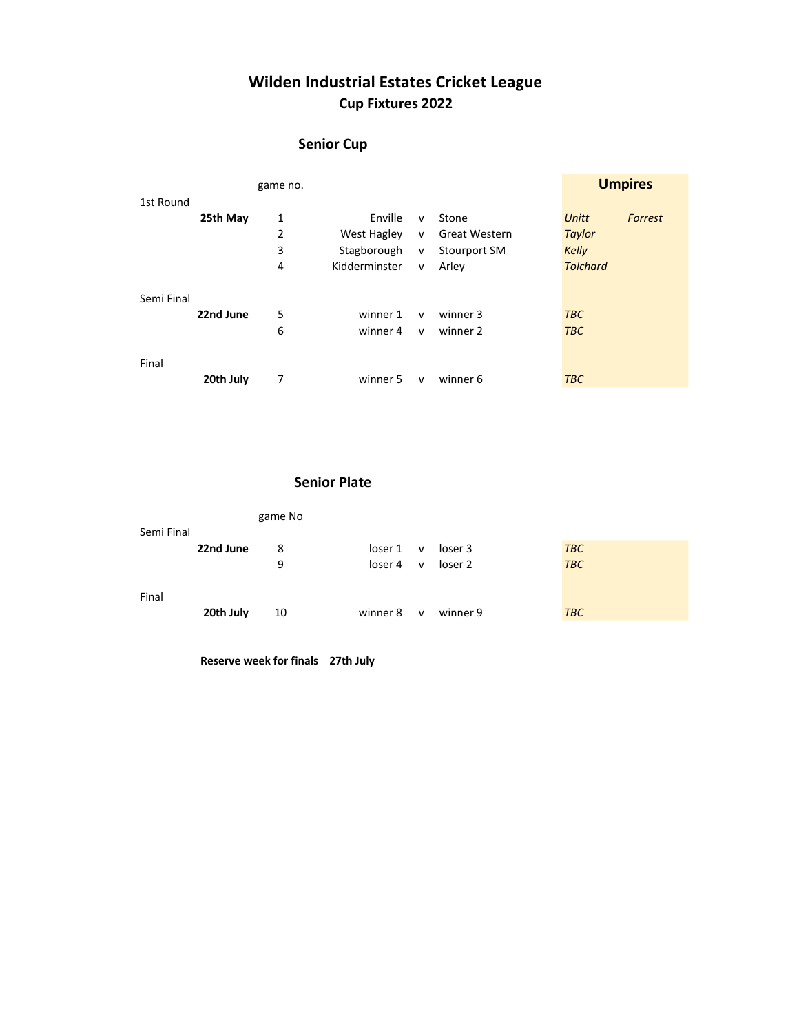# Wilden Industrial Estates Cricket League Cup Fixtures 2022

### Senior Cup

|            |           | game no. |               |              |               | <b>Umpires</b>   |
|------------|-----------|----------|---------------|--------------|---------------|------------------|
| 1st Round  |           |          |               |              |               |                  |
|            | 25th May  | 1        | Enville       | $\mathsf{v}$ | Stone         | Unitt<br>Forrest |
|            |           | 2        | West Hagley   | $\mathsf{v}$ | Great Western | Taylor           |
|            |           | 3        | Stagborough   | ${\sf V}$    | Stourport SM  | <b>Kelly</b>     |
|            |           | 4        | Kidderminster | $\mathsf{v}$ | Arley         | <b>Tolchard</b>  |
|            |           |          |               |              |               |                  |
| Semi Final |           |          |               |              |               |                  |
|            | 22nd June | 5        | winner 1      | $\mathsf{v}$ | winner 3      | <b>TBC</b>       |
|            |           | 6        | winner 4      | $\mathsf{v}$ | winner 2      | <b>TBC</b>       |
|            |           |          |               |              |               |                  |
| Final      |           |          |               |              |               |                  |
|            | 20th July | 7        | winner 5      | $\mathsf{v}$ | winner 6      | <b>TBC</b>       |

#### Senior Plate

|            |           | game No |          |              |          |            |  |
|------------|-----------|---------|----------|--------------|----------|------------|--|
| Semi Final |           |         |          |              |          |            |  |
|            | 22nd June | 8       | loser 1  | $\mathsf{v}$ | loser 3  | <b>TBC</b> |  |
|            |           | 9       | loser 4  | $\mathsf{v}$ | loser 2  | <b>TBC</b> |  |
| Final      |           |         |          |              |          |            |  |
|            | 20th July | 10      | winner 8 | $\mathbf{V}$ | winner 9 | <b>TBC</b> |  |

Reserve week for finals 27th July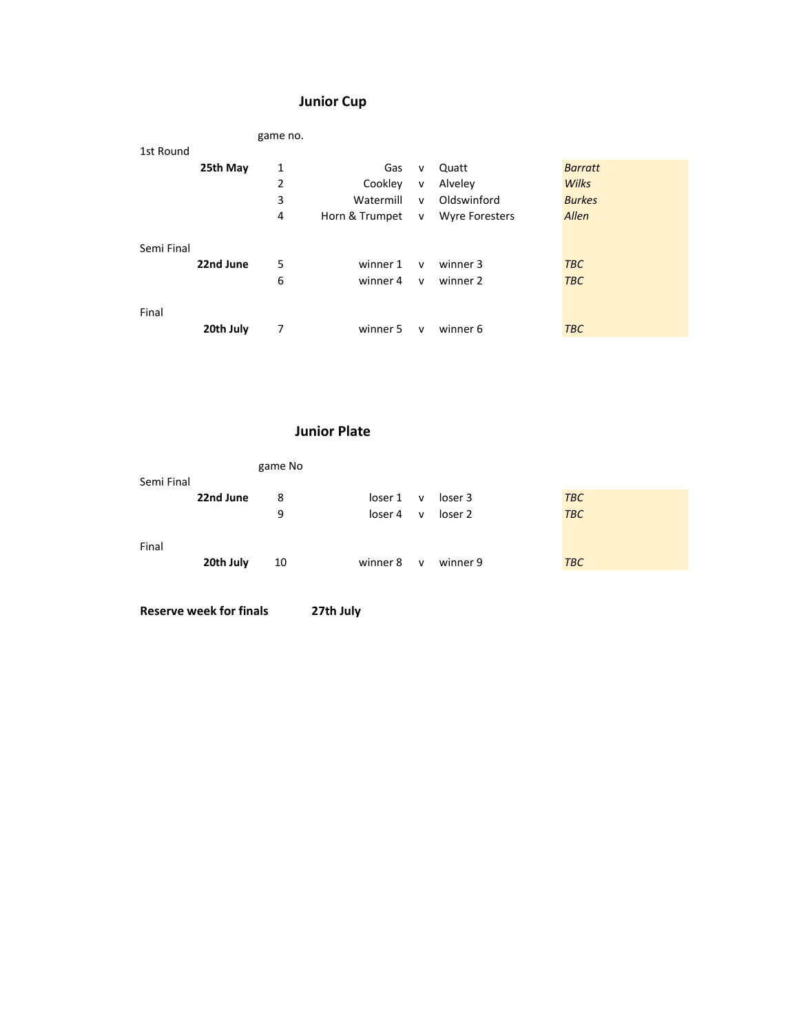## Junior Cup

|            |           | game no. |                |              |                       |                |
|------------|-----------|----------|----------------|--------------|-----------------------|----------------|
| 1st Round  |           |          |                |              |                       |                |
|            | 25th May  | 1        | Gas            | $\mathsf{v}$ | Quatt                 | <b>Barratt</b> |
|            |           | 2        | Cookley        | $\mathsf{v}$ | Alveley               | <b>Wilks</b>   |
|            |           | 3        | Watermill      | $\mathsf{v}$ | Oldswinford           | <b>Burkes</b>  |
|            |           | 4        | Horn & Trumpet | $\mathsf{v}$ | <b>Wyre Foresters</b> | Allen          |
|            |           |          |                |              |                       |                |
| Semi Final |           |          |                |              |                       |                |
|            | 22nd June | 5        | winner 1       | $\mathsf{v}$ | winner 3              | <b>TBC</b>     |
|            |           | 6        | winner 4       | $\mathsf{v}$ | winner 2              | <b>TBC</b>     |
|            |           |          |                |              |                       |                |
| Final      |           |          |                |              |                       |                |
|            | 20th July | 7        | winner 5       | $\mathsf{v}$ | winner 6              | <b>TBC</b>     |
|            |           |          |                |              |                       |                |

#### Junior Plate

|            |           | game No |          |              |          |            |
|------------|-----------|---------|----------|--------------|----------|------------|
| Semi Final |           |         |          |              |          |            |
|            | 22nd June | 8       | loser 1  | $\mathsf{v}$ | loser 3  | <b>TBC</b> |
|            |           | 9       | loser 4  | $\mathsf{v}$ | loser 2  | <b>TBC</b> |
| Final      |           |         |          |              |          |            |
|            | 20th July | 10      | winner 8 | $\mathsf{V}$ | winner 9 | <b>TBC</b> |

Reserve week for finals 27th July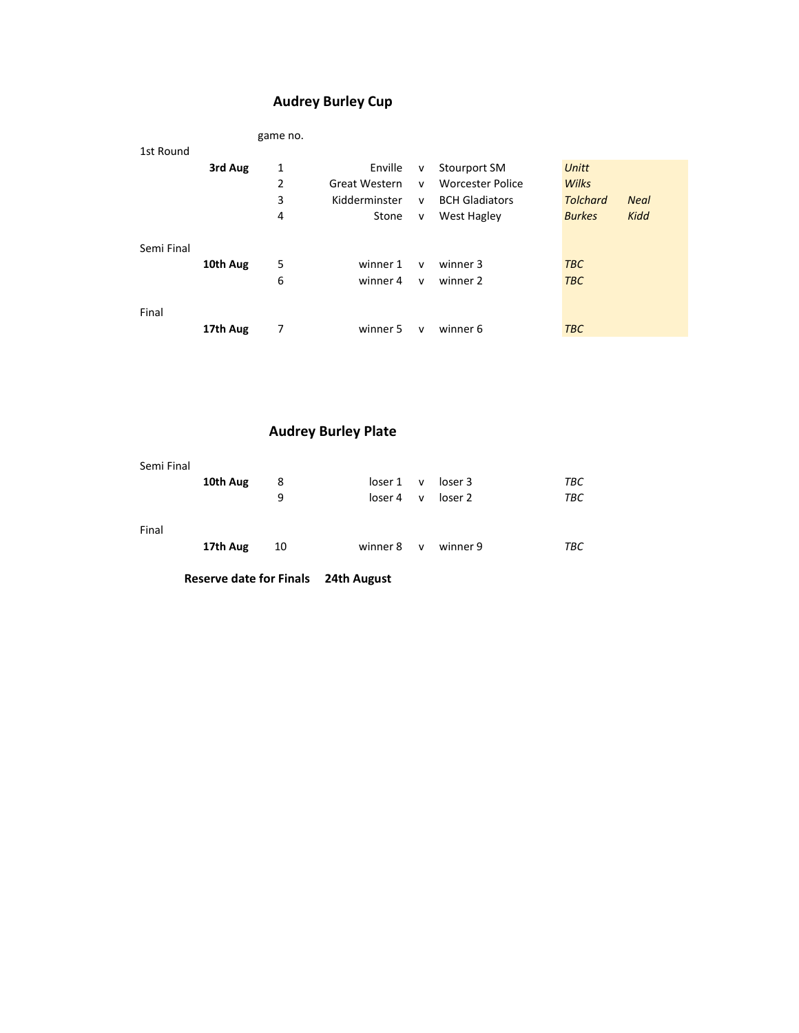## Audrey Burley Cup

|            |          | game no. |               |              |                         |                                |  |
|------------|----------|----------|---------------|--------------|-------------------------|--------------------------------|--|
| 1st Round  |          |          |               |              |                         |                                |  |
|            | 3rd Aug  | 1        | Enville       | v            | Stourport SM            | Unitt                          |  |
|            |          | 2        | Great Western | $\mathsf{v}$ | <b>Worcester Police</b> | Wilks                          |  |
|            |          | 3        | Kidderminster | $\mathsf{v}$ | <b>BCH Gladiators</b>   | <b>Tolchard</b><br><b>Neal</b> |  |
|            |          | 4        | Stone         | $\mathsf{v}$ | West Hagley             | Kidd<br><b>Burkes</b>          |  |
|            |          |          |               |              |                         |                                |  |
| Semi Final |          |          |               |              |                         |                                |  |
|            | 10th Aug | 5        | winner 1      | $\mathsf{v}$ | winner 3                | <b>TBC</b>                     |  |
|            |          | 6        | winner 4      | $\mathsf{v}$ | winner 2                | <b>TBC</b>                     |  |
|            |          |          |               |              |                         |                                |  |
| Final      |          |          |               |              |                         |                                |  |
|            | 17th Aug | 7        | winner 5      | $\mathsf{v}$ | winner 6                | <b>TBC</b>                     |  |

## Audrey Burley Plate

| Semi Final |          |    |                     |              |                                     |     |
|------------|----------|----|---------------------|--------------|-------------------------------------|-----|
|            | 10th Aug | 8  |                     |              | $\text{Ioser 1}$ v $\text{Ioser 3}$ | ТВС |
|            |          | 9  | loser 4             | $\mathsf{v}$ | loser 2                             | TBC |
| Final      | 17th Aug | 10 | winner 8 v winner 9 |              |                                     | ТВС |
|            |          |    |                     |              |                                     |     |

Reserve date for Finals 24th August